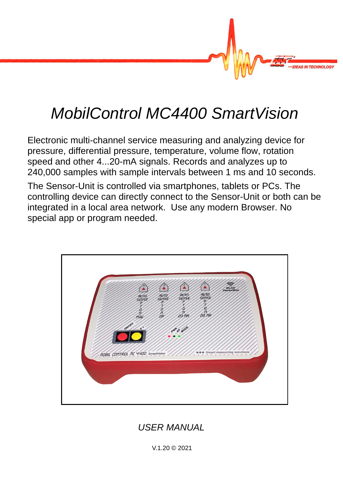

# *MobilControl MC4400 SmartVision*

Electronic multi-channel service measuring and analyzing device for pressure, differential pressure, temperature, volume flow, rotation speed and other 4...20-mA signals. Records and analyzes up to 240,000 samples with sample intervals between 1 ms and 10 seconds.

The Sensor-Unit is controlled via smartphones, tablets or PCs. The controlling device can directly connect to the Sensor-Unit or both can be integrated in a local area network. Use any modern Browser. No special app or program needed.



*USER MANUAL*

V.1.20 © 2021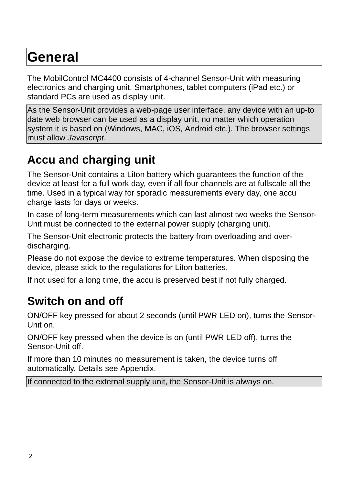# **General**

The MobilControl MC4400 consists of 4-channel Sensor-Unit with measuring electronics and charging unit. Smartphones, tablet computers (iPad etc.) or standard PCs are used as display unit.

As the Sensor-Unit provides a web-page user interface, any device with an up-to date web browser can be used as a display unit, no matter which operation system it is based on (Windows, MAC, iOS, Android etc.). The browser settings must allow *Javascript*.

# **Accu and charging unit**

The Sensor-Unit contains a LiIon battery which guarantees the function of the device at least for a full work day, even if all four channels are at fullscale all the time. Used in a typical way for sporadic measurements every day, one accu charge lasts for days or weeks.

In case of long-term measurements which can last almost two weeks the Sensor-Unit must be connected to the external power supply (charging unit).

The Sensor-Unit electronic protects the battery from overloading and overdischarging.

Please do not expose the device to extreme temperatures. When disposing the device, please stick to the regulations for LiIon batteries.

If not used for a long time, the accu is preserved best if not fully charged.

# **Switch on and off**

ON/OFF key pressed for about 2 seconds (until PWR LED on), turns the Sensor-Unit on.

ON/OFF key pressed when the device is on (until PWR LED off), turns the Sensor-Unit off.

If more than 10 minutes no measurement is taken, the device turns off automatically. Details see Appendix.

If connected to the external supply unit, the Sensor-Unit is always on.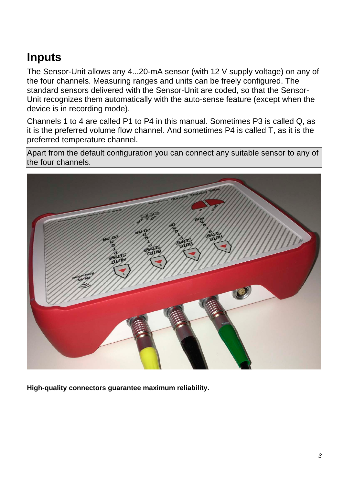# **Inputs**

The Sensor-Unit allows any 4...20-mA sensor (with 12 V supply voltage) on any of the four channels. Measuring ranges and units can be freely configured. The standard sensors delivered with the Sensor-Unit are coded, so that the Sensor-Unit recognizes them automatically with the auto-sense feature (except when the device is in recording mode).

Channels 1 to 4 are called P1 to P4 in this manual. Sometimes P3 is called Q, as it is the preferred volume flow channel. And sometimes P4 is called T, as it is the preferred temperature channel.

Apart from the default configuration you can connect any suitable sensor to any of the four channels.



**High-quality connectors guarantee maximum reliability.**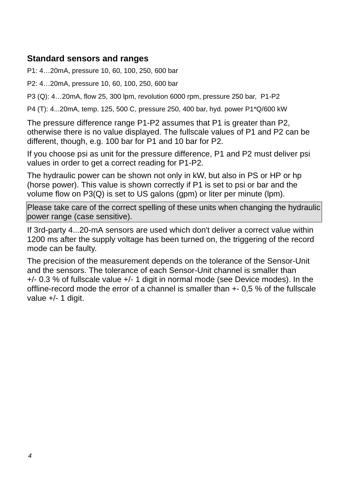### **Standard sensors and ranges**

P1: 4…20mA, pressure 10, 60, 100, 250, 600 bar

P2: 4…20mA, pressure 10, 60, 100, 250, 600 bar

P3 (Q): 4...20mA, flow 25, 300 lpm, revolution 6000 rpm, pressure 250 bar, P1-P2

P4 (T): 4...20mA, temp. 125, 500 C, pressure 250, 400 bar, hyd. power P1\*Q/600 kW

The pressure difference range P1-P2 assumes that P1 is greater than P2, otherwise there is no value displayed. The fullscale values of P1 and P2 can be different, though, e.g. 100 bar for P1 and 10 bar for P2.

If you choose psi as unit for the pressure difference, P1 and P2 must deliver psi values in order to get a correct reading for P1-P2.

The hydraulic power can be shown not only in kW, but also in PS or HP or hp (horse power). This value is shown correctly if P1 is set to psi or bar and the volume flow on  $P3(Q)$  is set to US galons (gpm) or liter per minute (lpm).

Please take care of the correct spelling of these units when changing the hydraulic power range (case sensitive).

If 3rd-party 4...20-mA sensors are used which don't deliver a correct value within 1200 ms after the supply voltage has been turned on, the triggering of the record mode can be faulty.

The precision of the measurement depends on the tolerance of the Sensor-Unit and the sensors. The tolerance of each Sensor-Unit channel is smaller than +/- 0.3 % of fullscale value +/- 1 digit in normal mode (see Device modes). In the ofine-record mode the error of a channel is smaller than +- 0,5 % of the fullscale value  $+/- 1$  digit.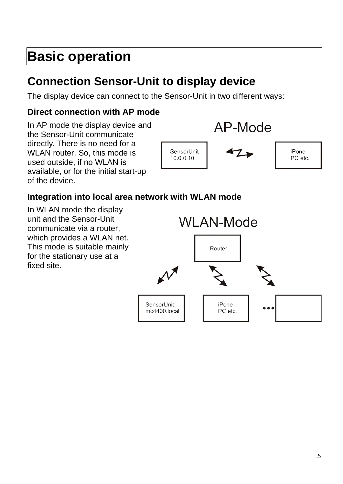# **Basic operation**

# **Connection Sensor-Unit to display device**

The display device can connect to the Sensor-Unit in two different ways:

## **Direct connection with AP mode**

In AP mode the display device and the Sensor-Unit communicate directly. There is no need for a WLAN router. So, this mode is used outside, if no WLAN is available, or for the initial start-up of the device.



## **Integration into local area network with WLAN mode**

In WLAN mode the display unit and the Sensor-Unit communicate via a router, which provides a WLAN net. This mode is suitable mainly for the stationary use at a fixed site.

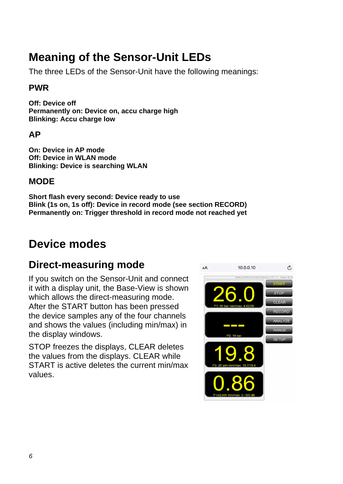# **Meaning of the Sensor-Unit LEDs**

The three LEDs of the Sensor-Unit have the following meanings:

### **PWR**

**Off: Device off Permanently on: Device on, accu charge high Blinking: Accu charge low**

### **AP**

**On: Device in AP mode Off: Device in WLAN mode Blinking: Device is searching WLAN**

### **MODE**

**Short flash every second: Device ready to use Blink (1s on, 1s off): Device in record mode (see section RECORD) Permanently on: Trigger threshold in record mode not reached yet**

# **Device modes**

## **Direct-measuring mode**

If you switch on the Sensor-Unit and connect it with a display unit, the Base-View is shown which allows the direct-measuring mode. After the START button has been pressed the device samples any of the four channels and shows the values (including min/max) in the display windows.

STOP freezes the displays, CLEAR deletes the values from the displays. CLEAR while START is active deletes the current min/max values.

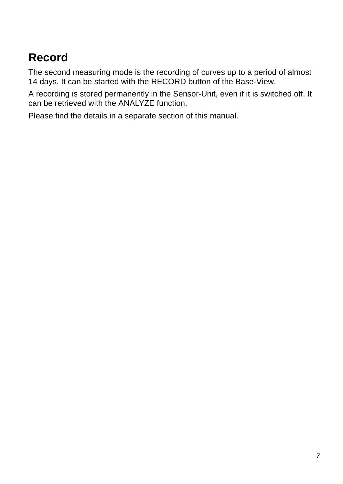# **Record**

The second measuring mode is the recording of curves up to a period of almost 14 days. It can be started with the RECORD button of the Base-View.

A recording is stored permanently in the Sensor-Unit, even if it is switched off. It can be retrieved with the ANALYZE function.

Please find the details in a separate section of this manual.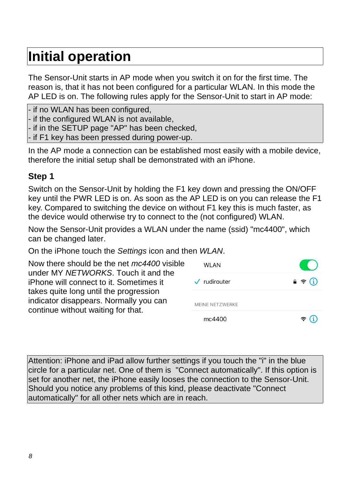# **Initial operation**

The Sensor-Unit starts in AP mode when you switch it on for the first time. The reason is, that it has not been configured for a particular WLAN. In this mode the AP LED is on. The following rules apply for the Sensor-Unit to start in AP mode:

- if no WLAN has been configured,

- if the configured WLAN is not available.

- if in the SETUP page "AP" has been checked,
- if F1 key has been pressed during power-up.

In the AP mode a connection can be established most easily with a mobile device, therefore the initial setup shall be demonstrated with an iPhone.

### **Step 1**

Switch on the Sensor-Unit by holding the F1 key down and pressing the ON/OFF key until the PWR LED is on. As soon as the AP LED is on you can release the F1 key. Compared to switching the device on without F1 key this is much faster, as the device would otherwise try to connect to the (not configured) WLAN.

Now the Sensor-Unit provides a WLAN under the name (ssid) "mc4400", which can be changed later.

On the iPhone touch the *Settings* icon and then *WLAN*.

| Now there should be the net <i>mc4400</i> visible                                                                      | <b>WLAN</b>                     | <b>Contract Contract</b>   |  |
|------------------------------------------------------------------------------------------------------------------------|---------------------------------|----------------------------|--|
| under MY NETWORKS. Touch it and the<br>iPhone will connect to it. Sometimes it                                         | $\sqrt{\phantom{a}}$ rudirouter | $\theta \in (i)$           |  |
| takes quite long until the progression<br>indicator disappears. Normally you can<br>continue without waiting for that. | MEINE NETZWERKE                 |                            |  |
|                                                                                                                        | mc4400                          | $\widehat{\mathbf{z}}$ (i) |  |

Attention: iPhone and iPad allow further settings if you touch the "i" in the blue circle for a particular net. One of them is "Connect automatically". If this option is set for another net, the iPhone easily looses the connection to the Sensor-Unit. Should you notice any problems of this kind, please deactivate "Connect automatically" for all other nets which are in reach.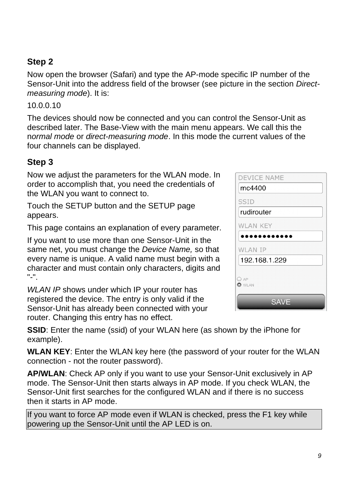## **Step 2**

Now open the browser (Safari) and type the AP-mode specific IP number of the Sensor-Unit into the address field of the browser (see picture in the section *Directmeasuring mode*). It is:

### 10.0.0.10

The devices should now be connected and you can control the Sensor-Unit as described later. The Base-View with the main menu appears. We call this the n*ormal mode* or *direct-measuring mode*. In this mode the current values of the four channels can be displayed.

## **Step 3**

Now we adjust the parameters for the WLAN mode. In order to accomplish that, you need the credentials of the WLAN you want to connect to.

Touch the SETUP button and the SETUP page appears.

This page contains an explanation of every parameter.

If you want to use more than one Sensor-Unit in the same net, you must change the *Device Name,* so that every name is unique. A valid name must begin with a character and must contain only characters, digits and "-".

*WLAN IP* shows under which IP your router has registered the device. The entry is only valid if the Sensor-Unit has already been connected with your router. Changing this entry has no effect.

**SSID**: Enter the name (ssid) of your WLAN here (as shown by the iPhone for example).

**WLAN KEY**: Enter the WLAN key here (the password of your router for the WLAN connection - not the router password).

**AP/WLAN**: Check AP only if you want to use your Sensor-Unit exclusively in AP mode. The Sensor-Unit then starts always in AP mode. If you check WLAN, the Sensor-Unit first searches for the configured WLAN and if there is no success then it starts in AP mode.

If you want to force AP mode even if WLAN is checked, press the F1 key while powering up the Sensor-Unit until the AP LED is on.

| DEVICE NAME          |
|----------------------|
| mc4400               |
| <b>SSID</b>          |
| rudirouter           |
| <b>WLAN KEY</b>      |
| . .                  |
| <b>WLAN IP</b>       |
| 192.168.1.229        |
|                      |
| OAP<br><b>O</b> WLAN |
| SAVE                 |

فالمحارب المستعارف المنتجرة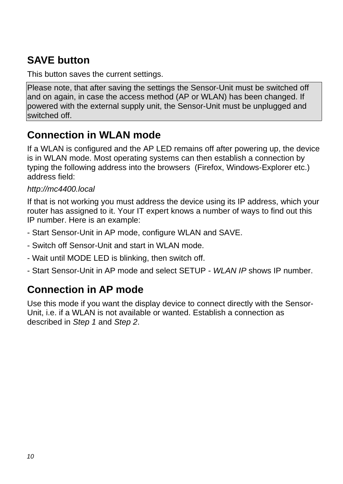# **SAVE button**

This button saves the current settings.

Please note, that after saving the settings the Sensor-Unit must be switched off and on again, in case the access method (AP or WLAN) has been changed. If powered with the external supply unit, the Sensor-Unit must be unplugged and switched off.

## **Connection in WLAN mode**

If a WLAN is configured and the AP LED remains off after powering up, the device is in WLAN mode. Most operating systems can then establish a connection by typing the following address into the browsers (Firefox, Windows-Explorer etc.) address field:

### *http://mc4400.local*

If that is not working you must address the device using its IP address, which your router has assigned to it. Your IT expert knows a number of ways to find out this IP number. Here is an example:

- Start Sensor-Unit in AP mode, configure WLAN and SAVE.
- Switch off Sensor-Unit and start in WLAN mode.
- Wait until MODE LED is blinking, then switch off.
- Start Sensor-Unit in AP mode and select SETUP *WLAN IP* shows IP number.

# **Connection in AP mode**

Use this mode if you want the display device to connect directly with the Sensor-Unit, i.e. if a WLAN is not available or wanted. Establish a connection as described in *Step 1* and *Step 2*.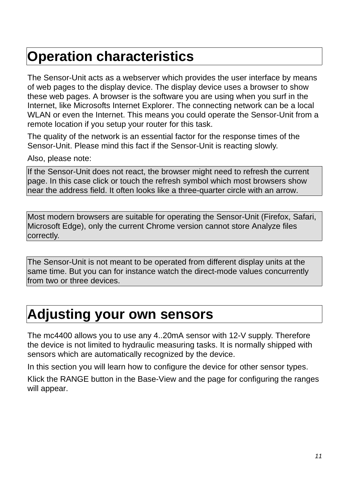# **Operation characteristics**

The Sensor-Unit acts as a webserver which provides the user interface by means of web pages to the display device. The display device uses a browser to show these web pages. A browser is the software you are using when you surf in the Internet, like Microsofts Internet Explorer. The connecting network can be a local WLAN or even the Internet. This means you could operate the Sensor-Unit from a remote location if you setup your router for this task.

The quality of the network is an essential factor for the response times of the Sensor-Unit. Please mind this fact if the Sensor-Unit is reacting slowly.

Also, please note:

If the Sensor-Unit does not react, the browser might need to refresh the current page. In this case click or touch the refresh symbol which most browsers show near the address field. It often looks like a three-quarter circle with an arrow.

Most modern browsers are suitable for operating the Sensor-Unit (Firefox, Safari, Microsoft Edge), only the current Chrome version cannot store Analyze files correctly.

The Sensor-Unit is not meant to be operated from different display units at the same time. But you can for instance watch the direct-mode values concurrently from two or three devices.

# **Adjusting your own sensors**

The mc4400 allows you to use any 4..20mA sensor with 12-V supply. Therefore the device is not limited to hydraulic measuring tasks. It is normally shipped with sensors which are automatically recognized by the device.

In this section you will learn how to configure the device for other sensor types.

Klick the RANGE button in the Base-View and the page for configuring the ranges will appear.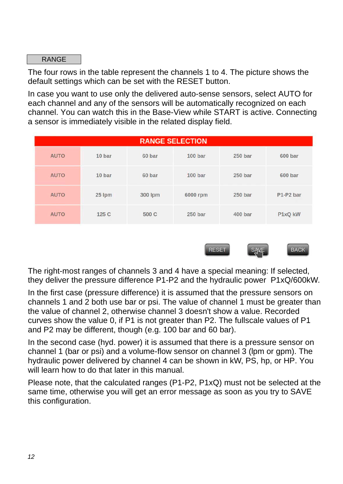RANGE

The four rows in the table represent the channels 1 to 4. The picture shows the default settings which can be set with the RESET button.

In case you want to use only the delivered auto-sense sensors, select AUTO for each channel and any of the sensors will be automatically recognized on each channel. You can watch this in the Base-View while START is active. Connecting a sensor is immediately visible in the related display field.

|             | <b>RANGE SELECTION</b> |         |                    |                    |           |  |
|-------------|------------------------|---------|--------------------|--------------------|-----------|--|
| <b>AUTO</b> | 10 bar                 | 60 bar  | 100 <sub>bar</sub> | 250 <sub>bar</sub> | 600 bar   |  |
| <b>AUTO</b> | 10 bar                 | 60 bar  | 100 <sub>bar</sub> | 250 bar            | 600 bar   |  |
| <b>AUTO</b> | 25 lpm                 | 300 lpm | 6000 rpm           | 250 bar            | P1-P2 bar |  |
| <b>AUTO</b> | 125 C                  | 500 C   | 250 bar            | 400 bar            | P1xQ kW   |  |



The right-most ranges of channels 3 and 4 have a special meaning: If selected, they deliver the pressure difference P1-P2 and the hydraulic power P1xQ/600kW.

In the first case (pressure difference) it is assumed that the pressure sensors on channels 1 and 2 both use bar or psi. The value of channel 1 must be greater than the value of channel 2, otherwise channel 3 doesn't show a value. Recorded curves show the value 0, if P1 is not greater than P2. The fullscale values of P1 and P2 may be different, though (e.g. 100 bar and 60 bar).

In the second case (hyd. power) it is assumed that there is a pressure sensor on channel 1 (bar or psi) and a volume-flow sensor on channel 3 (lpm or gpm). The hydraulic power delivered by channel 4 can be shown in kW, PS, hp, or HP. You will learn how to do that later in this manual.

Please note, that the calculated ranges (P1-P2, P1xQ) must not be selected at the same time, otherwise you will get an error message as soon as you try to SAVE this configuration.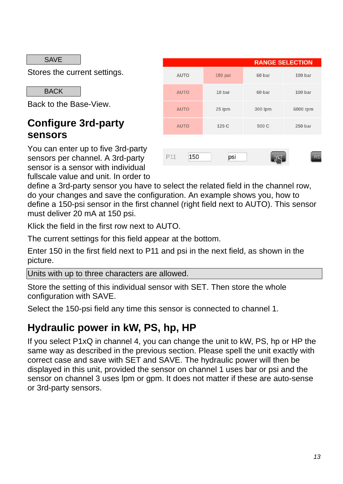SAVE

Stores the current settings.

**BACK** 

Back to the Base-View.

## **Configure 3rd-party sensors**

You can enter up to five 3rd-party sensors per channel. A 3rd-party sensor is a sensor with individual fullscale value and unit. In order to

|             |         |         | <b>RANGE SELECTION</b> |
|-------------|---------|---------|------------------------|
| <b>AUTO</b> | 150 psi | 60 bar  | 100 <sub>bar</sub>     |
| <b>AUTO</b> | 10 bar  | 60 bar  | 100 bar                |
| <b>AUTO</b> | 25 lpm  | 300 lpm | 6000 rpm               |
| <b>AUTO</b> | 125 C   | 500 C   | 250 bar                |
|             |         |         |                        |
| 150<br>P11  | psi     |         | RES                    |

define a 3rd-party sensor you have to select the related field in the channel row, do your changes and save the configuration. An example shows you, how to define a 150-psi sensor in the first channel (right field next to AUTO). This sensor must deliver 20 mA at 150 psi.

Klick the field in the first row next to AUTO.

The current settings for this field appear at the bottom.

Enter 150 in the first field next to P11 and psi in the next field, as shown in the picture.

Units with up to three characters are allowed.

Store the setting of this individual sensor with SET. Then store the whole configuration with SAVE.

Select the 150-psi field any time this sensor is connected to channel 1.

## **Hydraulic power in kW, PS, hp, HP**

If you select P1xQ in channel 4, you can change the unit to kW, PS, hp or HP the same way as described in the previous section. Please spell the unit exactly with correct case and save with SET and SAVE. The hydraulic power will then be displayed in this unit, provided the sensor on channel 1 uses bar or psi and the sensor on channel 3 uses lpm or gpm. It does not matter if these are auto-sense or 3rd-party sensors.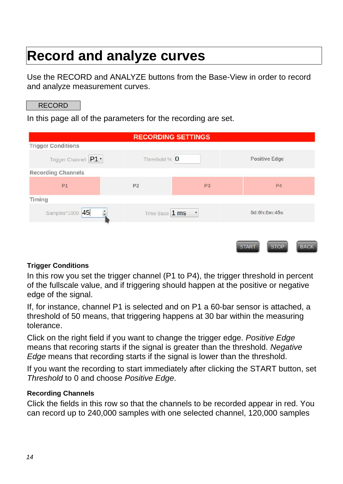# **Record and analyze curves**

Use the RECORD and ANALYZE buttons from the Base-View in order to record and analyze measurement curves.

#### RECORD

In this page all of the parameters for the recording are set.

|                                  |                | <b>RECORDING SETTINGS</b> |                                            |  |
|----------------------------------|----------------|---------------------------|--------------------------------------------|--|
| <b>Trigger Conditions</b>        |                |                           |                                            |  |
| Trigger Channel P1 v             | Threshold % 0  |                           | <b>Positive Edge</b>                       |  |
| <b>Recording Channels</b>        |                |                           |                                            |  |
| P1                               | P <sub>2</sub> | P <sub>3</sub>            | P <sub>4</sub>                             |  |
| <b>Timing</b>                    |                |                           |                                            |  |
| Samples*1000 45<br>$\frac{1}{x}$ | Time Base 1 ms | ▼                         | 0d:0h:0m:45s                               |  |
|                                  |                |                           |                                            |  |
|                                  |                |                           | <b>STOP</b><br><b>START</b><br><b>BACK</b> |  |

#### **Trigger Conditions**

In this row you set the trigger channel (P1 to P4), the trigger threshold in percent of the fullscale value, and if triggering should happen at the positive or negative edge of the signal.

If, for instance, channel P1 is selected and on P1 a 60-bar sensor is attached, a threshold of 50 means, that triggering happens at 30 bar within the measuring tolerance.

Click on the right field if you want to change the trigger edge. *Positive Edge* means that recoring starts if the signal is greater than the threshold. *Negative Edge* means that recording starts if the signal is lower than the threshold.

If you want the recording to start immediately after clicking the START button, set *Threshold* to 0 and choose *Positive Edge*.

#### **Recording Channels**

Click the fields in this row so that the channels to be recorded appear in red. You can record up to 240,000 samples with one selected channel, 120,000 samples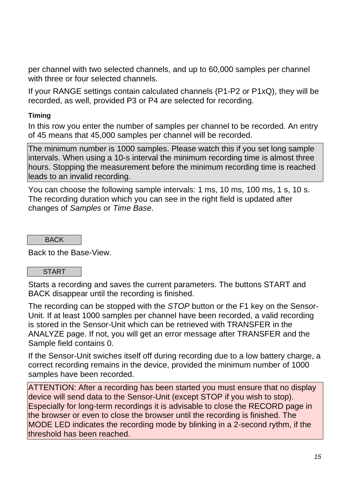per channel with two selected channels, and up to 60,000 samples per channel with three or four selected channels.

If your RANGE settings contain calculated channels (P1-P2 or P1xQ), they will be recorded, as well, provided P3 or P4 are selected for recording.

### **Timing**

In this row you enter the number of samples per channel to be recorded. An entry of 45 means that 45,000 samples per channel will be recorded.

The minimum number is 1000 samples. Please watch this if you set long sample intervals. When using a 10-s interval the minimum recording time is almost three hours. Stopping the measurement before the minimum recording time is reached leads to an invalid recording.

You can choose the following sample intervals: 1 ms, 10 ms, 100 ms, 1 s, 10 s. The recording duration which you can see in the right field is updated after changes of *Samples* or *Time Base*.

**BACK** 

Back to the Base-View.

#### **START**

Starts a recording and saves the current parameters. The buttons START and BACK disappear until the recording is finished.

The recording can be stopped with the *STOP* button or the F1 key on the Sensor-Unit. If at least 1000 samples per channel have been recorded, a valid recording is stored in the Sensor-Unit which can be retrieved with TRANSFER in the ANALYZE page. If not, you will get an error message after TRANSFER and the Sample field contains 0.

If the Sensor-Unit swiches itself off during recording due to a low battery charge, a correct recording remains in the device, provided the minimum number of 1000 samples have been recorded.

ATTENTION: After a recording has been started you must ensure that no display device will send data to the Sensor-Unit (except STOP if you wish to stop). Especially for long-term recordings it is advisable to close the RECORD page in the browser or even to close the browser until the recording is finished. The MODE LED indicates the recording mode by blinking in a 2-second rythm, if the threshold has been reached.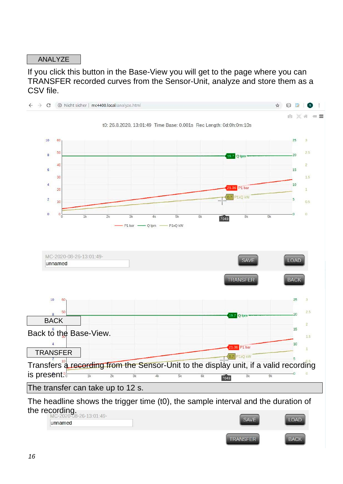#### ANALYZE

If you click this button in the Base-View you will get to the page where you can TRANSFER recorded curves from the Sensor-Unit, analyze and store them as a CSV file.

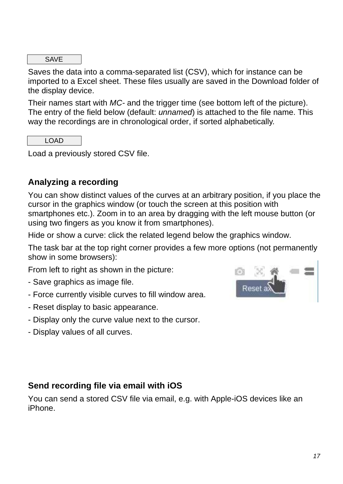SAVE

Saves the data into a comma-separated list (CSV), which for instance can be imported to a Excel sheet. These files usually are saved in the Download folder of the display device.

Their names start with *MC-* and the trigger time (see bottom left of the picture). The entry of the field below (default: *unnamed*) is attached to the file name. This way the recordings are in chronological order, if sorted alphabetically.

LOAD

Load a previously stored CSV file.

### **Analyzing a recording**

You can show distinct values of the curves at an arbitrary position, if you place the cursor in the graphics window (or touch the screen at this position with smartphones etc.). Zoom in to an area by dragging with the left mouse button (or using two fingers as you know it from smartphones).

Hide or show a curve: click the related legend below the graphics window.

The task bar at the top right corner provides a few more options (not permanently show in some browsers):

From left to right as shown in the picture:

- Save graphics as image file.
- Force currently visible curves to fill window area.
- Reset display to basic appearance.
- Display only the curve value next to the cursor.
- Display values of all curves.



### **Send recording file via email with iOS**

You can send a stored CSV file via email, e.g. with Apple-iOS devices like an iPhone.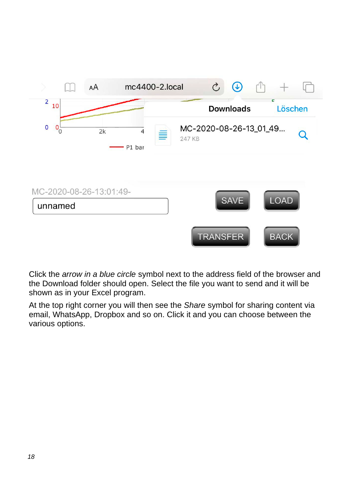

Click the *arrow in a blue circle* symbol next to the address field of the browser and the Download folder should open. Select the file you want to send and it will be shown as in your Excel program.

At the top right corner you will then see the *Share* symbol for sharing content via email, WhatsApp, Dropbox and so on. Click it and you can choose between the various options.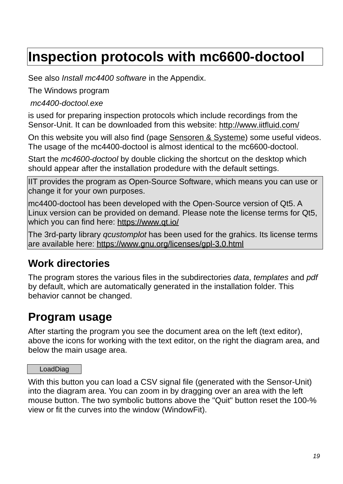# **Inspection protocols with mc6600-doctool**

See also *Install mc4400 software* in the Appendix.

The Windows program

 *mc4400-doctool.exe*

is used for preparing inspection protocols which include recordings from the Sensor-Unit. It can be downloaded from this website: http://www.iitfluid.com/

On this website you will also find (page Sensoren & Systeme) some useful videos. The usage of the mc4400-doctool is almost identical to the mc6600-doctool.

Start the *mc4600-doctool* by double clicking the shortcut on the desktop which should appear after the installation prodedure with the default settings.

IIT provides the program as Open-Source Software, which means you can use or change it for your own purposes.

mc4400-doctool has been developed with the Open-Source version of Qt5. A Linux version can be provided on demand. Please note the license terms for Qt5, which you can find here: https://www.gt.io/

The 3rd-party library *qcustomplot* has been used for the grahics. Its license terms are available here: https://www.gnu.org/licenses/gpl-3.0.html

# **Work directories**

The program stores the various files in the subdirectories *data*, *templates* and *pdf* by default, which are automatically generated in the installation folder. This behavior cannot be changed.

# **Program usage**

After starting the program you see the document area on the left (text editor), above the icons for working with the text editor, on the right the diagram area, and below the main usage area.

LoadDiag

With this button you can load a CSV signal file (generated with the Sensor-Unit) into the diagram area. You can zoom in by dragging over an area with the left mouse button. The two symbolic buttons above the "Quit" button reset the 100-% view or fit the curves into the window (WindowFit).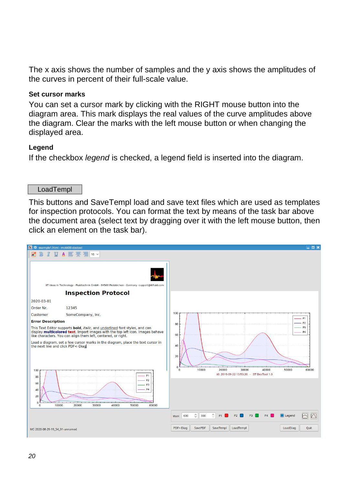The x axis shows the number of samples and the y axis shows the amplitudes of the curves in percent of their full-scale value.

#### **Set cursor marks**

You can set a cursor mark by clicking with the RIGHT mouse button into the diagram area. This mark displays the real values of the curve amplitudes above the diagram. Clear the marks with the left mouse button or when changing the displayed area.

#### **Legend**

If the checkbox *legend* is checked, a legend field is inserted into the diagram.

LoadTempl

This buttons and SaveTempl load and save text files which are used as templates for inspection protocols. You can format the text by means of the task bar above the document area (select text by dragging over it with the left mouse button, then click an element on the task bar).

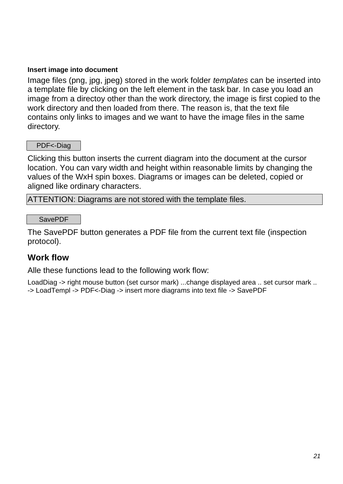#### **Insert image into document**

Image files (png, jpg, jpeg) stored in the work folder *templates* can be inserted into a template file by clicking on the left element in the task bar. In case you load an image from a directoy other than the work directory, the image is first copied to the work directory and then loaded from there. The reason is, that the text file contains only links to images and we want to have the image files in the same directory.

#### PDF<-Diag

Clicking this button inserts the current diagram into the document at the cursor location. You can vary width and height within reasonable limits by changing the values of the WxH spin boxes. Diagrams or images can be deleted, copied or aligned like ordinary characters.

ATTENTION: Diagrams are not stored with the template files.

SavePDF

The SavePDF button generates a PDF file from the current text file (inspection protocol).

### **Work flow**

Alle these functions lead to the following work flow:

LoadDiag -> right mouse button (set cursor mark) ...change displayed area .. set cursor mark .. -> LoadTempl -> PDF<-Diag -> insert more diagrams into text file -> SavePDF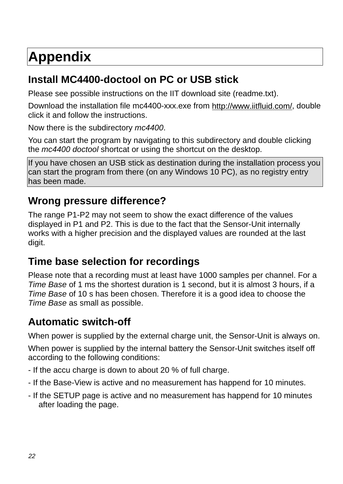# **Appendix**

# **Install MC4400-doctool on PC or USB stick**

Please see possible instructions on the IIT download site (readme.txt).

Download the installation file mc4400-xxx.exe from http://www.iitfluid.com/. double click it and follow the instructions.

Now there is the subdirectory *mc4400*.

You can start the program by navigating to this subdirectory and double clicking the *mc4400 doctool* shortcat or using the shortcut on the desktop.

If you have chosen an USB stick as destination during the installation process you can start the program from there (on any Windows 10 PC), as no registry entry has been made.

## **Wrong pressure difference?**

The range P1-P2 may not seem to show the exact difference of the values displayed in P1 and P2. This is due to the fact that the Sensor-Unit internally works with a higher precision and the displayed values are rounded at the last digit.

# **Time base selection for recordings**

Please note that a recording must at least have 1000 samples per channel. For a *Time Base* of 1 ms the shortest duration is 1 second, but it is almost 3 hours, if a *Time Base* of 10 s has been chosen. Therefore it is a good idea to choose the *Time Base* as small as possible.

# **Automatic switch-off**

When power is supplied by the external charge unit, the Sensor-Unit is always on.

When power is supplied by the internal battery the Sensor-Unit switches itself off according to the following conditions:

- If the accu charge is down to about 20 % of full charge.
- If the Base-View is active and no measurement has happend for 10 minutes.
- If the SETUP page is active and no measurement has happend for 10 minutes after loading the page.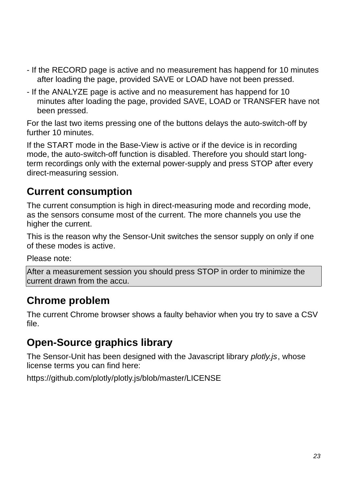- If the RECORD page is active and no measurement has happend for 10 minutes after loading the page, provided SAVE or LOAD have not been pressed.
- If the ANALYZE page is active and no measurement has happend for 10 minutes after loading the page, provided SAVE, LOAD or TRANSFER have not been pressed.

For the last two items pressing one of the buttons delays the auto-switch-off by further 10 minutes.

If the START mode in the Base-View is active or if the device is in recording mode, the auto-switch-off function is disabled. Therefore you should start longterm recordings only with the external power-supply and press STOP after every direct-measuring session.

# **Current consumption**

The current consumption is high in direct-measuring mode and recording mode, as the sensors consume most of the current. The more channels you use the higher the current.

This is the reason why the Sensor-Unit switches the sensor supply on only if one of these modes is active.

Please note:

After a measurement session you should press STOP in order to minimize the current drawn from the accu.

# **Chrome problem**

The current Chrome browser shows a faulty behavior when you try to save a CSV file.

# **Open-Source graphics library**

The Sensor-Unit has been designed with the Javascript library *plotly.js*, whose license terms you can find here:

https://github.com/plotly/plotly.js/blob/master/LICENSE